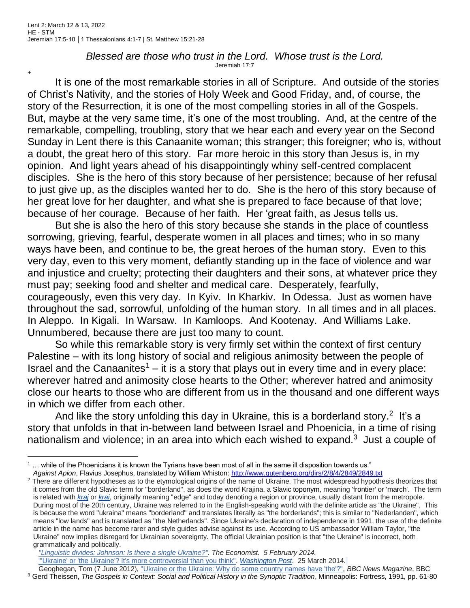## *Blessed are those who trust in the Lord. Whose trust is the Lord.* Jeremiah 17:7

+

It is one of the most remarkable stories in all of Scripture. And outside of the stories of Christ's Nativity, and the stories of Holy Week and Good Friday, and, of course, the story of the Resurrection, it is one of the most compelling stories in all of the Gospels. But, maybe at the very same time, it's one of the most troubling. And, at the centre of the remarkable, compelling, troubling, story that we hear each and every year on the Second Sunday in Lent there is this Canaanite woman; this stranger; this foreigner; who is, without a doubt, the great hero of this story. Far more heroic in this story than Jesus is, in my opinion. And light years ahead of his disappointingly whiny self-centred complacent disciples. She is the hero of this story because of her persistence; because of her refusal to just give up, as the disciples wanted her to do. She is the hero of this story because of her great love for her daughter, and what she is prepared to face because of that love; because of her courage. Because of her faith. Her 'great faith, as Jesus tells us.

But she is also the hero of this story because she stands in the place of countless sorrowing, grieving, fearful, desperate women in all places and times; who in so many ways have been, and continue to be, the great heroes of the human story. Even to this very day, even to this very moment, defiantly standing up in the face of violence and war and injustice and cruelty; protecting their daughters and their sons, at whatever price they must pay; seeking food and shelter and medical care. Desperately, fearfully, courageously, even this very day. In Kyiv. In Kharkiv. In Odessa. Just as women have throughout the sad, sorrowful, unfolding of the human story. In all times and in all places. In Aleppo. In Kigali. In Warsaw. In Kamloops. And Kootenay. And Williams Lake. Unnumbered, because there are just too many to count.

So while this remarkable story is very firmly set within the context of first century Palestine – with its long history of social and religious animosity between the people of Israel and the Canaanites<sup>1</sup> – it is a story that plays out in every time and in every place: wherever hatred and animosity close hearts to the Other; wherever hatred and animosity close our hearts to those who are different from us in the thousand and one different ways in which we differ from each other.

And like the story unfolding this day in Ukraine, this is a borderland story.<sup>2</sup> It's a story that unfolds in that in-between land between Israel and Phoenicia, in a time of rising nationalism and violence; in an area into which each wished to expand. $3$  Just a couple of

*["Linguistic divides: Johnson: Is there a single Ukraine?".](https://www.economist.com/blogs/prospero/2014/02/linguistic-divides) The Economist. 5 February 2014.* ["'Ukraine' or 'the Ukraine'? It's more controversial than you think".](https://www.washingtonpost.com/news/the-fix/wp/2014/03/25/ukraine-or-the-ukraine-its-more-controversial-than-you-think/) *[Washington Post](https://en.wikipedia.org/wiki/Washington_Post)*. 25 March 2014.

 $1 \dots$  while of the Phoenicians it is known the Tyrians have been most of all in the same ill disposition towards us." *Against Apion*, Flavius Josephus, translated by William Whiston:<http://www.gutenberg.org/dirs/2/8/4/2849/2849.txt>

<sup>&</sup>lt;sup>2</sup> There are different hypotheses as to the etymological origins of the name of Ukraine. The most widespread hypothesis theorizes that it comes from the old Slavic term for "borderland", as does the word Krajina, a Slavic toponym, meaning 'frontier' or 'march'. The term is related with *[kraj](https://en.wikipedia.org/wiki/Kraj)* or *[krai](https://en.wikipedia.org/wiki/Krai)*, originally meaning "edge" and today denoting a region or province, usually distant from the metropole. During most of the 20th century, Ukraine was referred to in the English-speaking world with the definite article as "the Ukraine". This is because the word "ukraina" means "borderland" and translates literally as "the borderlands"; this is similar to "Nederlanden", which means "low lands" and is translated as "the Netherlands". Since Ukraine's declaration of independence in 1991, the use of the definite article in the name has become rarer and style guides advise against its use. According to US ambassador William Taylor, "the Ukraine" now implies disregard for Ukrainian sovereignty. The official Ukrainian position is that "the Ukraine" is incorrect, both grammatically and politically.

Geoghegan, Tom (7 June 2012), ["Ukraine or the Ukraine: Why do some country names have 'the'?",](https://www.bbc.co.uk/news/magazine-18233844) *BBC News Magazine*, BBC <sup>3</sup> Gerd Theissen, *The Gospels in Context: Social and Political History in the Synoptic Tradition*, Minneapolis: Fortress, 1991, pp. 61-80